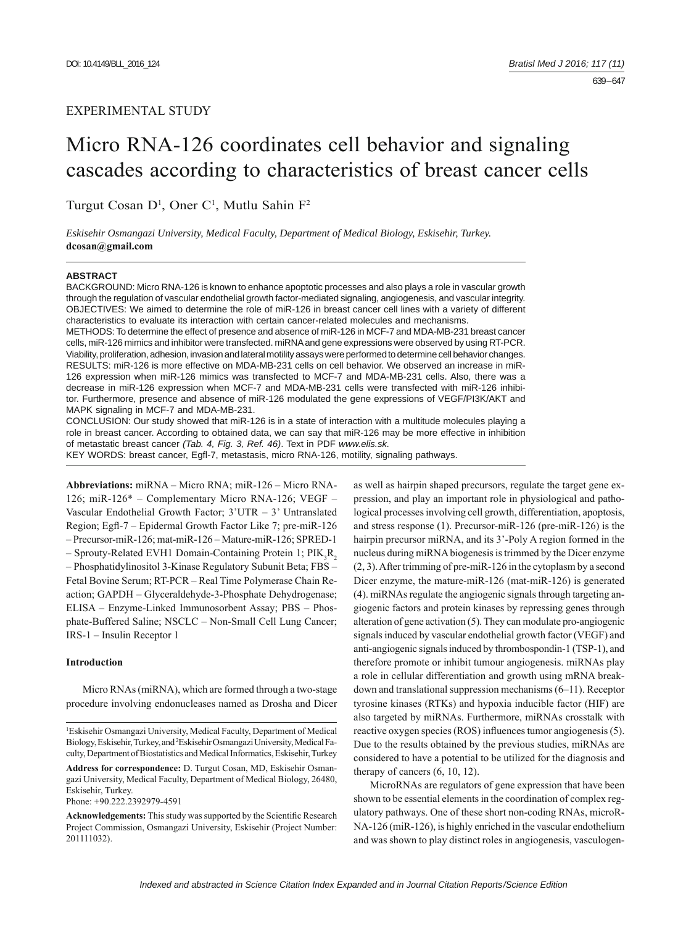# EXPERIMENTAL STUDY

# Micro RNA-126 coordinates cell behavior and signaling cascades according to characteristics of breast cancer cells

Turgut Cosan D<sup>1</sup>, Oner C<sup>1</sup>, Mutlu Sahin F<sup>2</sup>

*Eskisehir Osmangazi University, Medical Faculty, Department of Medical Biology, Eskisehir, Turkey.*  **dcosan@gmail.com**

## **ABSTRACT**

BACKGROUND: Micro RNA-126 is known to enhance apoptotic processes and also plays a role in vascular growth through the regulation of vascular endothelial growth factor-mediated signaling, angiogenesis, and vascular integrity. OBJECTIVES: We aimed to determine the role of miR-126 in breast cancer cell lines with a variety of different characteristics to evaluate its interaction with certain cancer-related molecules and mechanisms.

METHODS: To determine the effect of presence and absence of miR-126 in MCF-7 and MDA-MB-231 breast cancer cells, miR-126 mimics and inhibitor were transfected. miRNA and gene expressions were observed by using RT-PCR. Viability, proliferation, adhesion, invasion and lateral motility assays were performed to determine cell behavior changes. RESULTS: miR-126 is more effective on MDA-MB-231 cells on cell behavior. We observed an increase in miR-126 expression when miR-126 mimics was transfected to MCF-7 and MDA-MB-231 cells. Also, there was a decrease in miR-126 expression when MCF-7 and MDA-MB-231 cells were transfected with miR-126 inhibitor. Furthermore, presence and absence of miR-126 modulated the gene expressions of VEGF/PI3K/AKT and MAPK signaling in MCF-7 and MDA-MB-231.

CONCLUSION: Our study showed that miR-126 is in a state of interaction with a multitude molecules playing a role in breast cancer. According to obtained data, we can say that miR-126 may be more effective in inhibition of metastatic breast cancer *(Tab. 4, Fig. 3, Ref. 46)*. Text in PDF *www.elis.sk.* KEY WORDS: breast cancer, Egfl-7, metastasis, micro RNA-126, motility, signaling pathways.

**Abbreviations:** miRNA – Micro RNA; miR-126 – Micro RNA-126; miR-126\* – Complementary Micro RNA-126; VEGF – Vascular Endothelial Growth Factor; 3'UTR – 3' Untranslated Region; Egfl-7 – Epidermal Growth Factor Like 7; pre-miR-126 – Precursor-miR-126; mat-miR-126 – Mature-miR-126; SPRED-1  $-$  Sprouty-Related EVH1 Domain-Containing Protein 1; PIK<sub>3</sub>R<sub>2</sub> – Phosphatidylinositol 3-Kinase Regulatory Subunit Beta; FBS – Fetal Bovine Serum; RT-PCR – Real Time Polymerase Chain Reaction; GAPDH – Glyceraldehyde-3-Phosphate Dehydrogenase; ELISA – Enzyme-Linked Immunosorbent Assay; PBS – Phosphate-Buffered Saline; NSCLC – Non-Small Cell Lung Cancer; IRS-1 – Insulin Receptor 1

# **Introduction**

Micro RNAs (miRNA), which are formed through a two-stage procedure involving endonucleases named as Drosha and Dicer

Phone: +90.222.2392979-4591

as well as hairpin shaped precursors, regulate the target gene expression, and play an important role in physiological and pathological processes involving cell growth, differentiation, apoptosis, and stress response (1). Precursor-miR-126 (pre-miR-126) is the hairpin precursor miRNA, and its 3'-Poly A region formed in the nucleus during miRNA biogenesis is trimmed by the Dicer enzyme (2, 3). After trimming of pre-miR-126 in the cytoplasm by a second Dicer enzyme, the mature-miR-126 (mat-miR-126) is generated (4). miRNAs regulate the angiogenic signals through targeting angiogenic factors and protein kinases by repressing genes through alteration of gene activation (5). They can modulate pro-angiogenic signals induced by vascular endothelial growth factor (VEGF) and anti-angiogenic signals induced by thrombospondin-1 (TSP-1), and therefore promote or inhibit tumour angiogenesis. miRNAs play a role in cellular differentiation and growth using mRNA breakdown and translational suppression mechanisms (6–11). Receptor tyrosine kinases (RTKs) and hypoxia inducible factor (HIF) are also targeted by miRNAs. Furthermore, miRNAs crosstalk with reactive oxygen species (ROS) influences tumor angiogenesis (5). Due to the results obtained by the previous studies, miRNAs are considered to have a potential to be utilized for the diagnosis and therapy of cancers (6, 10, 12).

MicroRNAs are regulators of gene expression that have been shown to be essential elements in the coordination of complex regulatory pathways. One of these short non-coding RNAs, microR-NA-126 (miR-126), is highly enriched in the vascular endothelium and was shown to play distinct roles in angiogenesis, vasculogen-

<sup>1</sup> Eskisehir Osmangazi University, Medical Faculty, Department of Medical Biology, Eskisehir, Turkey, and 2 Eskisehir Osmangazi University, Medical Faculty, Department of Biostatistics and Medical Informatics, Eskisehir, Turkey

**Address for correspondence:** D. Turgut Cosan, MD, Eskisehir Osmangazi University, Medical Faculty, Department of Medical Biology, 26480, Eskisehir, Turkey.

Acknowledgements: This study was supported by the Scientific Research Project Commission, Osmangazi University, Eskisehir (Project Number: 201111032).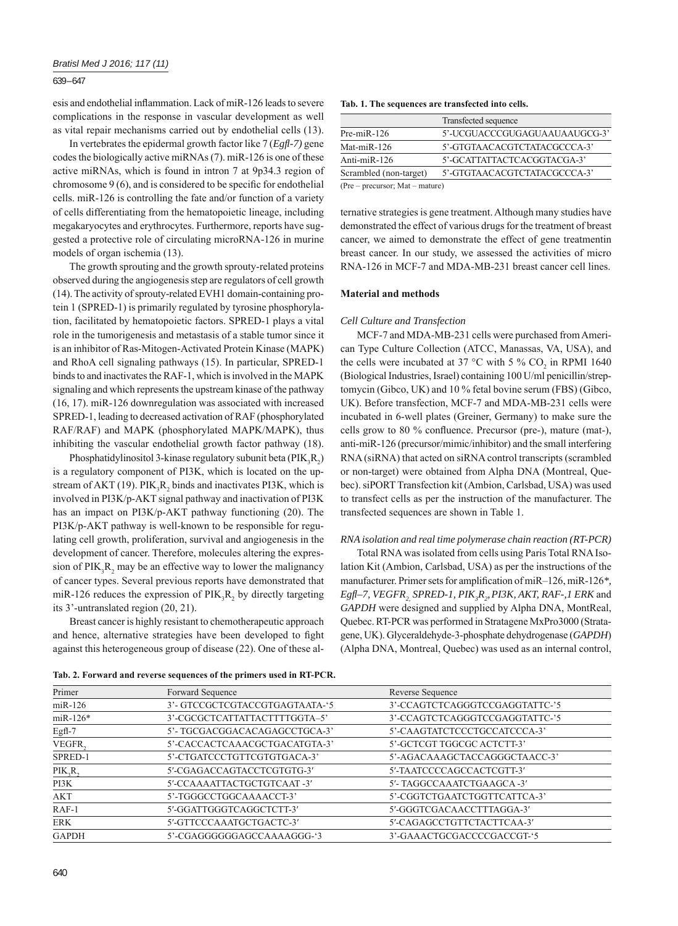esis and endothelial inflammation. Lack of miR-126 leads to severe complications in the response in vascular development as well as vital repair mechanisms carried out by endothelial cells (13).

In vertebrates the epidermal growth factor like 7 (*Egfl -7)* gene codes the biologically active miRNAs (7). miR-126 is one of these active miRNAs, which is found in intron 7 at 9p34.3 region of chromosome  $9(6)$ , and is considered to be specific for endothelial cells. miR-126 is controlling the fate and/or function of a variety of cells differentiating from the hematopoietic lineage, including megakaryocytes and erythrocytes. Furthermore, reports have suggested a protective role of circulating microRNA-126 in murine models of organ ischemia (13).

The growth sprouting and the growth sprouty-related proteins observed during the angiogenesis step are regulators of cell growth (14). The activity of sprouty-related EVH1 domain-containing protein 1 (SPRED-1) is primarily regulated by tyrosine phosphorylation, facilitated by hematopoietic factors. SPRED-1 plays a vital role in the tumorigenesis and metastasis of a stable tumor since it is an inhibitor of Ras-Mitogen-Activated Protein Kinase (MAPK) and RhoA cell signaling pathways (15). In particular, SPRED-1 binds to and inactivates the RAF-1, which is involved in the MAPK signaling and which represents the upstream kinase of the pathway (16, 17). miR-126 downregulation was associated with increased SPRED-1, leading to decreased activation of RAF (phosphorylated RAF/RAF) and MAPK (phosphorylated MAPK/MAPK), thus inhibiting the vascular endothelial growth factor pathway (18).

Phosphatidylinositol 3-kinase regulatory subunit beta  $(PIK_3R_2)$ is a regulatory component of PI3K, which is located on the upstream of AKT (19).  $PIK_3R_2$  binds and inactivates PI3K, which is involved in PI3K/p-AKT signal pathway and inactivation of PI3K has an impact on PI3K/p-AKT pathway functioning (20). The PI3K/p-AKT pathway is well-known to be responsible for regulating cell growth, proliferation, survival and angiogenesis in the development of cancer. Therefore, molecules altering the expression of  $PIK_3R_2$  may be an effective way to lower the malignancy of cancer types. Several previous reports have demonstrated that miR-126 reduces the expression of  $PIK_3R_2$  by directly targeting its 3'-untranslated region (20, 21).

Breast cancer is highly resistant to chemotherapeutic approach and hence, alternative strategies have been developed to fight against this heterogeneous group of disease (22). One of these al-

|  |  |  |  |  | Tab. 1. The sequences are transfected into cells. |  |  |
|--|--|--|--|--|---------------------------------------------------|--|--|
|--|--|--|--|--|---------------------------------------------------|--|--|

|                                     | Transfected sequence          |
|-------------------------------------|-------------------------------|
| Pre-miR-126                         | 5'-UCGUACCCGUGAGUAAUAAUGCG-3' |
| Mat-miR-126                         | 5'-GTGTAACACGTCTATACGCCCA-3'  |
| Anti-miR-126                        | 5'-GCATTATTACTCACGGTACGA-3'   |
| Scrambled (non-target)              | 5'-GTGTAACACGTCTATACGCCCA-3'  |
| $(Pre = nrecurrent: Mat = matrire)$ |                               |

(Pre – precursor; Mat – mature)

ternative strategies is gene treatment. Although many studies have demonstrated the effect of various drugs for the treatment of breast cancer, we aimed to demonstrate the effect of gene treatmentin breast cancer. In our study, we assessed the activities of micro RNA-126 in MCF-7 and MDA-MB-231 breast cancer cell lines.

# **Material and methods**

## *Cell Culture and Transfection*

MCF-7 and MDA-MB-231 cells were purchased from American Type Culture Collection (ATCC, Manassas, VA, USA), and the cells were incubated at 37 °C with 5 %  $CO_2$  in RPMI 1640 (Biological Industries, Israel) containing 100 U/ml penicillin/streptomycin (Gibco, UK) and 10 % fetal bovine serum (FBS) (Gibco, UK). Before transfection, MCF-7 and MDA-MB-231 cells were incubated in 6-well plates (Greiner, Germany) to make sure the cells grow to 80 % confluence. Precursor (pre-), mature (mat-), anti-miR-126 (precursor/mimic/inhibitor) and the small interfering RNA (siRNA) that acted on siRNA control transcripts (scrambled or non-target) were obtained from Alpha DNA (Montreal, Quebec). siPORT Transfection kit (Ambion, Carlsbad, USA) was used to transfect cells as per the instruction of the manufacturer. The transfected sequences are shown in Table 1.

## *RNA isolation and real time polymerase chain reaction (RT-PCR)*

Total RNA was isolated from cells using Paris Total RNA Isolation Kit (Ambion, Carlsbad, USA) as per the instructions of the manufacturer. Primer sets for amplification of miR–126, miR-126<sup>\*</sup>, *Egfl–7, VEGFR<sub>2,</sub> SPRED-1, PIK<sub>3</sub>R<sub>2</sub>, PI3K, AKT, RAF-,1 ERK and GAPDH* were designed and supplied by Alpha DNA, MontReal, Quebec. RT-PCR was performed in Stratagene MxPro3000 (Stratagene, UK). Glyceraldehyde-3-phosphate dehydrogenase (*GAPDH*) (Alpha DNA, Montreal, Quebec) was used as an internal control,

| Primer         | Forward Sequence               | Reverse Sequence               |
|----------------|--------------------------------|--------------------------------|
| $m$ iR-126     | 3'- GTCCGCTCGTACCGTGAGTAATA-'5 | 3'-CCAGTCTCAGGGTCCGAGGTATTC-'5 |
| $m$ iR-126 $*$ | 3'-CGCGCTCATTATTACTTTTGGTA-5'  | 3'-CCAGTCTCAGGGTCCGAGGTATTC-'5 |
| $Egfl-7$       | 5'-TGCGACGGACACAGAGCCTGCA-3'   | 5'-CAAGTATCTCCCTGCCATCCCA-3'   |
| VEGFR,         | 5'-CACCACTCAAACGCTGACATGTA-3'  | 5'-GCTCGT TGGCGC ACTCTT-3'     |
| SPRED-1        | 5'-CTGATCCCTGTTCGTGTGACA-3'    | 5'-AGACAAAGCTACCAGGGCTAACC-3'  |
| PIK, R         | 5'-CGAGACCAGTACCTCGTGTG-3'     | 5'-TAATCCCCAGCCACTCGTT-3'      |
| PI3K           | 5'-CCAAAATTACTGCTGTCAAT-3'     | 5'- TAGGCCAAATCTGAAGCA -3'     |
| <b>AKT</b>     | 5'-TGGGCCTGGCAAAACCT-3'        | 5'-CGGTCTGAATCTGGTTCATTCA-3'   |
| $RAF-1$        | 5'-GGATTGGGTCAGGCTCTT-3'       | 5'-GGGTCGACAACCTTTAGGA-3'      |
| <b>ERK</b>     | 5'-GTTCCCAAATGCTGACTC-3'       | 5'-CAGAGCCTGTTCTACTTCAA-3'     |
| <b>GAPDH</b>   | 5'-CGAGGGGGGAGCCAAAAGGG-'3     | 3'-GAAACTGCGACCCCGACCGT-'5     |

**Tab. 2. Forward and reverse sequences of the primers used in RT-PCR.**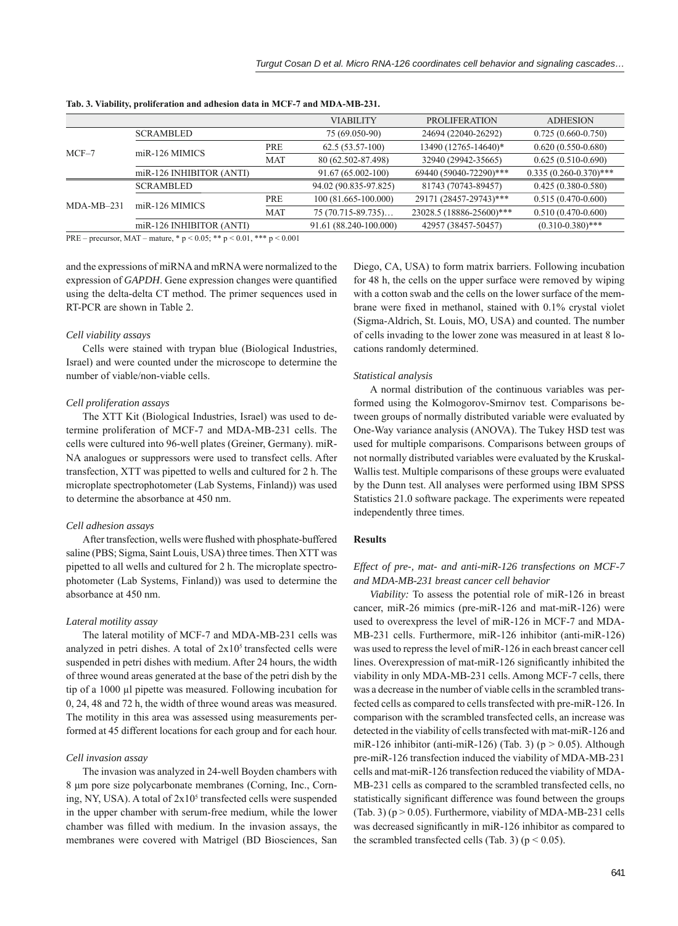|              |                          |            | <b>VIABILITY</b>       | <b>PROLIFERATION</b>     | <b>ADHESION</b>          |
|--------------|--------------------------|------------|------------------------|--------------------------|--------------------------|
| $MCF-7$      | <b>SCRAMBLED</b>         |            | 75 (69.050-90)         | 24694 (22040-26292)      | $0.725(0.660 - 0.750)$   |
|              | miR-126 MIMICS           | PRE        | $62.5(53.57-100)$      | 13490 (12765-14640)*     | $0.620(0.550-0.680)$     |
|              |                          | <b>MAT</b> | 80 (62.502-87.498)     | 32940 (29942-35665)      | $0.625(0.510-0.690)$     |
|              | miR-126 INHIBITOR (ANTI) |            | 91.67 (65.002-100)     | 69440 (59040-72290)***   | $0.335(0.260-0.370)$ *** |
|              | <b>SCRAMBLED</b>         |            | 94.02 (90.835-97.825)  | 81743 (70743-89457)      | $0.425(0.380 - 0.580)$   |
| $MDA-MB-231$ | $miR-126$ MIMICS         | PRE        | 100 (81.665-100.000)   | 29171 (28457-29743)***   | $0.515(0.470-0.600)$     |
|              |                          | <b>MAT</b> | $75(70.715 - 89.735)$  | 23028.5 (18886-25600)*** | $0.510(0.470-0.600)$     |
|              | miR-126 INHIBITOR (ANTI) |            | 91.61 (88.240-100.000) | 42957 (38457-50457)      | $(0.310 - 0.380)$ ***    |

**Tab. 3. Viability, proliferation and adhesion data in MCF-7 and MDA-MB-231.**

PRE – precursor, MAT – mature,  $* p \le 0.05$ ;  $** p \le 0.01$ ,  $*** p \le 0.001$ 

and the expressions of miRNA and mRNA were normalized to the expression of *GAPDH*. Gene expression changes were quantified using the delta-delta CT method. The primer sequences used in RT-PCR are shown in Table 2.

#### *Cell viability assays*

Cells were stained with trypan blue (Biological Industries, Israel) and were counted under the microscope to determine the number of viable/non-viable cells.

#### *Cell proliferation assays*

The XTT Kit (Biological Industries, Israel) was used to determine proliferation of MCF-7 and MDA-MB-231 cells. The cells were cultured into 96-well plates (Greiner, Germany). miR-NA analogues or suppressors were used to transfect cells. After transfection, XTT was pipetted to wells and cultured for 2 h. The microplate spectrophotometer (Lab Systems, Finland)) was used to determine the absorbance at 450 nm.

#### *Cell adhesion assays*

After transfection, wells were flushed with phosphate-buffered saline (PBS; Sigma, Saint Louis, USA) three times. Then XTT was pipetted to all wells and cultured for 2 h. The microplate spectrophotometer (Lab Systems, Finland)) was used to determine the absorbance at 450 nm.

#### *Lateral motility assay*

The lateral motility of MCF-7 and MDA-MB-231 cells was analyzed in petri dishes. A total of  $2x10<sup>5</sup>$  transfected cells were suspended in petri dishes with medium. After 24 hours, the width of three wound areas generated at the base of the petri dish by the tip of a 1000 μl pipette was measured. Following incubation for 0, 24, 48 and 72 h, the width of three wound areas was measured. The motility in this area was assessed using measurements performed at 45 different locations for each group and for each hour.

#### *Cell invasion assay*

The invasion was analyzed in 24-well Boyden chambers with 8 μm pore size polycarbonate membranes (Corning, Inc., Corning, NY, USA). A total of  $2x10<sup>5</sup>$  transfected cells were suspended in the upper chamber with serum-free medium, while the lower chamber was filled with medium. In the invasion assays, the membranes were covered with Matrigel (BD Biosciences, San

Diego, CA, USA) to form matrix barriers. Following incubation for 48 h, the cells on the upper surface were removed by wiping with a cotton swab and the cells on the lower surface of the membrane were fixed in methanol, stained with 0.1% crystal violet (Sigma-Aldrich, St. Louis, MO, USA) and counted. The number of cells invading to the lower zone was measured in at least 8 locations randomly determined.

#### *Statistical analysis*

A normal distribution of the continuous variables was performed using the Kolmogorov-Smirnov test. Comparisons between groups of normally distributed variable were evaluated by One-Way variance analysis (ANOVA). The Tukey HSD test was used for multiple comparisons. Comparisons between groups of not normally distributed variables were evaluated by the Kruskal-Wallis test. Multiple comparisons of these groups were evaluated by the Dunn test. All analyses were performed using IBM SPSS Statistics 21.0 software package. The experiments were repeated independently three times.

## **Results**

# *Effect of pre-, mat- and anti-miR-126 transfections on MCF-7 and MDA-MB-231 breast cancer cell behavior*

*Viability:* To assess the potential role of miR-126 in breast cancer, miR-26 mimics (pre-miR-126 and mat-miR-126) were used to overexpress the level of miR-126 in MCF-7 and MDA-MB-231 cells. Furthermore, miR-126 inhibitor (anti-miR-126) was used to repress the level of miR-126 in each breast cancer cell lines. Overexpression of mat-miR-126 significantly inhibited the viability in only MDA-MB-231 cells. Among MCF-7 cells, there was a decrease in the number of viable cells in the scrambled transfected cells as compared to cells transfected with pre-miR-126. In comparison with the scrambled transfected cells, an increase was detected in the viability of cells transfected with mat-miR-126 and miR-126 inhibitor (anti-miR-126) (Tab. 3) ( $p > 0.05$ ). Although pre-miR-126 transfection induced the viability of MDA-MB-231 cells and mat-miR-126 transfection reduced the viability of MDA-MB-231 cells as compared to the scrambled transfected cells, no statistically significant difference was found between the groups (Tab. 3) ( $p > 0.05$ ). Furthermore, viability of MDA-MB-231 cells was decreased significantly in miR-126 inhibitor as compared to the scrambled transfected cells (Tab. 3) ( $p < 0.05$ ).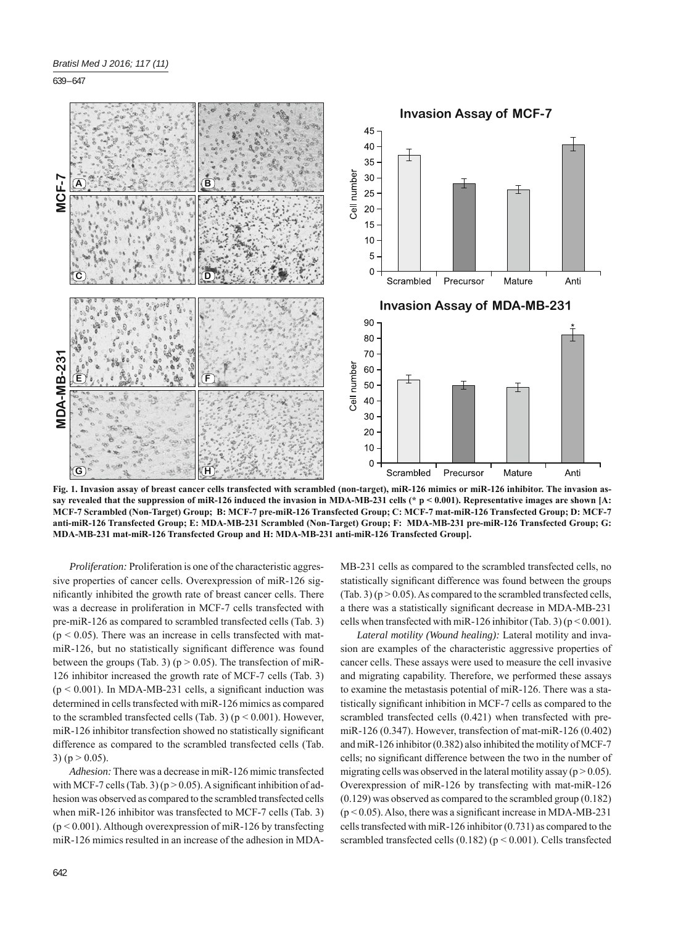

**Fig. 1. Invasion assay of breast cancer cells transfected with scrambled (non-target), miR-126 mimics or miR-126 inhibitor. The invasion assay revealed that the suppression of miR-126 induced the invasion in MDA-MB-231 cells (\* p < 0.001). Representative images are shown [A: MCF-7 Scrambled (Non-Target) Group; B: MCF-7 pre-miR-126 Transfected Group; C: MCF-7 mat-miR-126 Transfected Group; D: MCF-7 anti-miR-126 Transfected Group; E: MDA-MB-231 Scrambled (Non-Target) Group; F: MDA-MB-231 pre-miR-126 Transfected Group; G: MDA-MB-231 mat-miR-126 Transfected Group and H: MDA-MB-231 anti-miR-126 Transfected Group].**

*Proliferation:* Proliferation is one of the characteristic aggressive properties of cancer cells. Overexpression of miR-126 significantly inhibited the growth rate of breast cancer cells. There was a decrease in proliferation in MCF-7 cells transfected with pre-miR-126 as compared to scrambled transfected cells (Tab. 3)  $(p < 0.05)$ . There was an increase in cells transfected with matmiR-126, but no statistically significant difference was found between the groups (Tab. 3) ( $p > 0.05$ ). The transfection of miR-126 inhibitor increased the growth rate of MCF-7 cells (Tab. 3)  $(p < 0.001)$ . In MDA-MB-231 cells, a significant induction was determined in cells transfected with miR-126 mimics as compared to the scrambled transfected cells (Tab. 3) ( $p < 0.001$ ). However, miR-126 inhibitor transfection showed no statistically significant difference as compared to the scrambled transfected cells (Tab. 3) ( $p > 0.05$ ).

*Adhesion:* There was a decrease in miR-126 mimic transfected with MCF-7 cells (Tab. 3) ( $p > 0.05$ ). A significant inhibition of adhesion was observed as compared to the scrambled transfected cells when miR-126 inhibitor was transfected to MCF-7 cells (Tab. 3)  $(p < 0.001)$ . Although overexpression of miR-126 by transfecting miR-126 mimics resulted in an increase of the adhesion in MDA-

MB-231 cells as compared to the scrambled transfected cells, no statistically significant difference was found between the groups  $(Tab. 3)$  (p  $> 0.05$ ). As compared to the scrambled transfected cells, a there was a statistically significant decrease in MDA-MB-231 cells when transfected with miR-126 inhibitor (Tab. 3) ( $p < 0.001$ ).

*Lateral motility (Wound healing):* Lateral motility and invasion are examples of the characteristic aggressive properties of cancer cells. These assays were used to measure the cell invasive and migrating capability. Therefore, we performed these assays to examine the metastasis potential of miR-126. There was a statistically significant inhibition in MCF-7 cells as compared to the scrambled transfected cells (0.421) when transfected with premiR-126 (0.347). However, transfection of mat-miR-126 (0.402) and miR-126 inhibitor (0.382) also inhibited the motility of MCF-7 cells; no significant difference between the two in the number of migrating cells was observed in the lateral motility assay ( $p > 0.05$ ). Overexpression of miR-126 by transfecting with mat-miR-126 (0.129) was observed as compared to the scrambled group (0.182)  $(p < 0.05)$ . Also, there was a significant increase in MDA-MB-231 cells transfected with miR-126 inhibitor (0.731) as compared to the scrambled transfected cells  $(0.182)$  ( $p < 0.001$ ). Cells transfected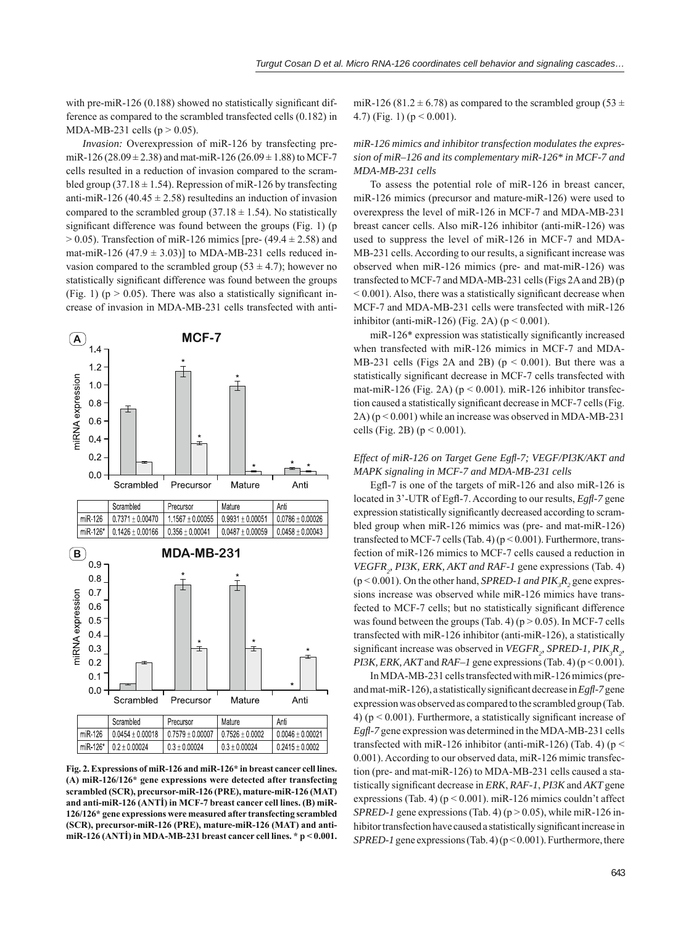with pre-miR-126  $(0.188)$  showed no statistically significant difference as compared to the scrambled transfected cells (0.182) in MDA-MB-231 cells ( $p > 0.05$ ).

*Invasion:* Overexpression of miR-126 by transfecting premiR-126 (28.09  $\pm$  2.38) and mat-miR-126 (26.09  $\pm$  1.88) to MCF-7 cells resulted in a reduction of invasion compared to the scrambled group (37.18  $\pm$  1.54). Repression of miR-126 by transfecting anti-miR-126 (40.45  $\pm$  2.58) resultedins an induction of invasion compared to the scrambled group (37.18  $\pm$  1.54). No statistically significant difference was found between the groups (Fig. 1) (p  $> 0.05$ ). Transfection of miR-126 mimics [pre- (49.4  $\pm$  2.58) and mat-miR-126 (47.9  $\pm$  3.03)] to MDA-MB-231 cells reduced invasion compared to the scrambled group (53  $\pm$  4.7); however no statistically significant difference was found between the groups (Fig. 1) ( $p > 0.05$ ). There was also a statistically significant increase of invasion in MDA-MB-231 cells transfected with anti-



**Fig. 2. Expressions of miR-126 and miR-126\* in breast cancer cell lines. (A) miR-126/126\* gene expressions were detected after transfecting scrambled (SCR), precursor-miR-126 (PRE), mature-miR-126 (MAT) and anti-miR-126 (ANTİ) in MCF-7 breast cancer cell lines. (B) miR-126/126\* gene expressions were measured after transfecting scrambled (SCR), precursor-miR-126 (PRE), mature-miR-126 (MAT) and antimiR-126 (ANTİ) in MDA-MB-231 breast cancer cell lines. \* p < 0.001.**

miR-126 (81.2  $\pm$  6.78) as compared to the scrambled group (53  $\pm$ 4.7) (Fig. 1) ( $p < 0.001$ ).

# *miR-126 mimics and inhibitor transfection modulates the expression of miR–126 and its complementary miR-126\* in MCF-7 and MDA-MB-231 cells*

To assess the potential role of miR-126 in breast cancer, miR-126 mimics (precursor and mature-miR-126) were used to overexpress the level of miR-126 in MCF-7 and MDA-MB-231 breast cancer cells. Also miR-126 inhibitor (anti-miR-126) was used to suppress the level of miR-126 in MCF-7 and MDA-MB-231 cells. According to our results, a significant increase was observed when miR-126 mimics (pre- and mat-miR-126) was transfected to MCF-7 and MDA-MB-231 cells (Figs 2A and 2B) (p  $\leq$  0.001). Also, there was a statistically significant decrease when MCF-7 and MDA-MB-231 cells were transfected with miR-126 inhibitor (anti-miR-126) (Fig. 2A) ( $p < 0.001$ ).

miR-126\* expression was statistically significantly increased when transfected with miR-126 mimics in MCF-7 and MDA-MB-231 cells (Figs 2A and 2B) ( $p < 0.001$ ). But there was a statistically significant decrease in MCF-7 cells transfected with mat-miR-126 (Fig. 2A) ( $p < 0.001$ ). miR-126 inhibitor transfection caused a statistically significant decrease in MCF-7 cells (Fig. 2A) (p < 0.001) while an increase was observed in MDA-MB-231 cells (Fig. 2B) ( $p < 0.001$ ).

# *Effect of miR-126 on Target Gene Egfl -7; VEGF/PI3K/AKT and MAPK signaling in MCF-7 and MDA-MB-231 cells*

Egfl-7 is one of the targets of miR-126 and also miR-126 is located in 3'-UTR of Egfl-7. According to our results, *Egfl*-7 gene expression statistically significantly decreased according to scrambled group when miR-126 mimics was (pre- and mat-miR-126) transfected to MCF-7 cells (Tab. 4) ( $p < 0.001$ ). Furthermore, transfection of miR-126 mimics to MCF-7 cells caused a reduction in *VEGFR*<sub>2</sub>, *PI3K, ERK, AKT and RAF-1* gene expressions (Tab. 4)  $(p < 0.001)$ . On the other hand, *SPRED-1 and PIK<sub>3</sub>R*<sub>2</sub> gene expressions increase was observed while miR-126 mimics have transfected to MCF-7 cells; but no statistically significant difference was found between the groups (Tab. 4) ( $p > 0.05$ ). In MCF-7 cells transfected with miR-126 inhibitor (anti-miR-126), a statistically significant increase was observed in *VEGFR<sub>2</sub>*, *SPRED-1*, *PIK<sub>3</sub>R<sub>2</sub>*, *PI3K, ERK, AKT* and  $RAF-I$  gene expressions (Tab. 4) ( $p < 0.001$ ).

In MDA-MB-231 cells transfected with miR-126 mimics (preand mat-miR-126), a statistically significant decrease in *Egfl*-7 gene expression was observed as compared to the scrambled group (Tab. 4) ( $p < 0.001$ ). Furthermore, a statistically significant increase of *Egfl -7* gene expression was determined in the MDA-MB-231 cells transfected with miR-126 inhibitor (anti-miR-126) (Tab. 4) ( $p <$ 0.001). According to our observed data, miR-126 mimic transfection (pre- and mat-miR-126) to MDA-MB-231 cells caused a statistically significant decrease in *ERK*, *RAF-1*, *PI3K* and *AKT* gene expressions (Tab. 4) ( $p < 0.001$ ). miR-126 mimics couldn't affect *SPRED-1* gene expressions (Tab. 4) ( $p > 0.05$ ), while miR-126 inhibitor transfection have caused a statistically significant increase in *SPRED-1* gene expressions (Tab. 4) (p < 0.001). Furthermore, there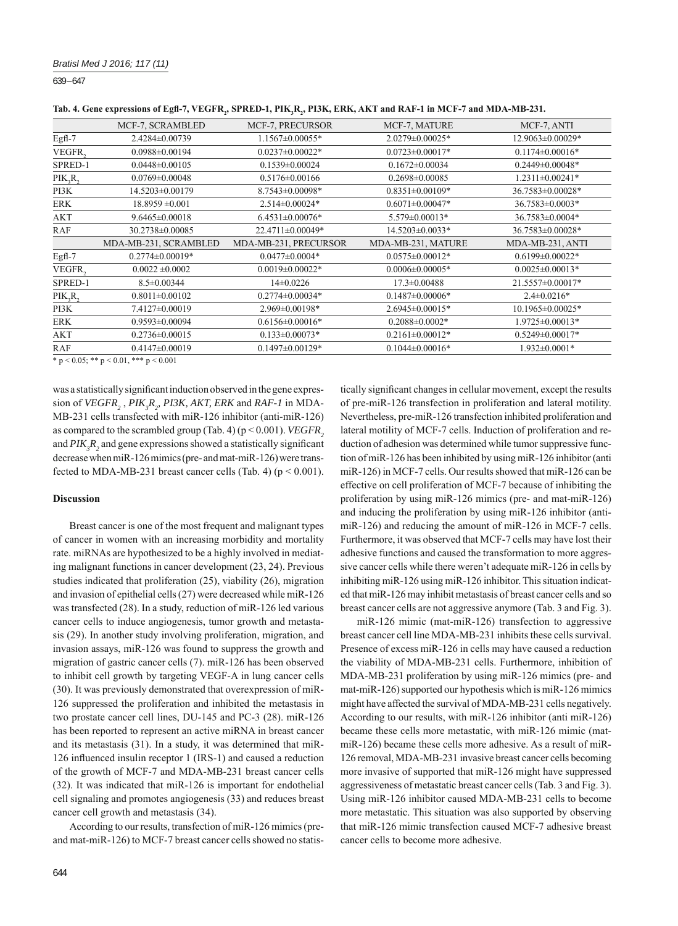| Tab. 4. Gene expressions of Egfl-7, VEGFR,, SPRED-1, PIK,R,, PI3K, ERK, AKT and RAF-1 in MCF-7 and MDA-MB-231. |  |  |  |
|----------------------------------------------------------------------------------------------------------------|--|--|--|
|----------------------------------------------------------------------------------------------------------------|--|--|--|

|            | MCF-7, SCRAMBLED                             | MCF-7, PRECURSOR       | MCF-7, MATURE         | MCF-7, ANTI            |
|------------|----------------------------------------------|------------------------|-----------------------|------------------------|
| $Egfl-7$   | 2.4284±0.00739                               | 1.1567±0.00055*        | 2.0279±0.00025*       | 12.9063±0.00029*       |
| VEGFR,     | $0.0988 \pm 0.00194$                         | $0.0237 \pm 0.00022$ * | $0.0723 \pm 0.00017*$ | $0.1174 \pm 0.00016*$  |
| SPRED-1    | $0.0448 \pm 0.00105$                         | $0.1539 \pm 0.00024$   | $0.1672 \pm 0.00034$  | $0.2449 \pm 0.00048*$  |
| PIK, R,    | $0.0769 \pm 0.00048$                         | $0.5176 \pm 0.00166$   | $0.2698 \pm 0.00085$  | $1.2311 \pm 0.00241*$  |
| PI3K       | 14.5203±0.00179                              | 8.7543±0.00098*        | $0.8351 \pm 0.00109*$ | 36.7583±0.00028*       |
| <b>ERK</b> | $18.8959 \pm 0.001$                          | $2.514\pm0.00024*$     | $0.6071 \pm 0.00047*$ | 36.7583±0.0003*        |
| AKT        | $9.6465 \pm 0.00018$                         | $6.4531 \pm 0.00076*$  | 5.579±0.00013*        | 36.7583±0.0004*        |
| RAF        | 30.2738±0.00085                              | 22.4711±0.00049*       | 14.5203±0.0033*       | 36.7583±0.00028*       |
|            | MDA-MB-231, SCRAMBLED                        | MDA-MB-231, PRECURSOR  | MDA-MB-231, MATURE    | MDA-MB-231, ANTI       |
| Egfl-7     | $0.2774 \pm 0.00019*$                        | $0.0477 \pm 0.0004*$   | $0.0575 \pm 0.00012*$ | $0.6199 \pm 0.00022$ * |
| VEGFR,     | $0.0022 \pm 0.0002$                          | $0.0019 \pm 0.00022$ * | $0.0006 \pm 0.00005*$ | $0.0025 \pm 0.00013*$  |
| SPRED-1    | $8.5 \pm 0.00344$                            | $14\pm0.0226$          | $17.3 \pm 0.00488$    | 21.5557±0.00017*       |
| PIK, R,    | $0.8011 \pm 0.00102$                         | $0.2774 \pm 0.00034*$  | $0.1487 \pm 0.00006*$ | $2.4 \pm 0.0216*$      |
| PI3K       | 7.4127±0.00019                               | 2.969±0.00198*         | 2.6945±0.00015*       | 10.1965±0.00025*       |
| <b>ERK</b> | $0.9593 \pm 0.00094$                         | $0.6156 \pm 0.00016*$  | $0.2088 \pm 0.0002*$  | 1.9725±0.00013*        |
| <b>AKT</b> | $0.2736 \pm 0.00015$                         | $0.133 \pm 0.00073*$   | $0.2161 \pm 0.00012*$ | $0.5249 \pm 0.00017*$  |
| <b>RAF</b> | $0.4147 \pm 0.00019$                         | $0.1497 \pm 0.00129*$  | $0.1044 \pm 0.00016*$ | 1.932±0.0001*          |
|            | $+$ $+$ $0.05 + +$ $+$ $0.01 + + +$ $ 0.001$ |                        |                       |                        |

 $*$  p < 0.05; \*\* p < 0.01, \*\*\* p < 0.001

was a statistically significant induction observed in the gene expression of *VEGFR*<sub>2</sub>, *PIK*<sub>3</sub> $R$ <sub>2</sub>, *PI3K*, *AKT*, *ERK* and *RAF-1* in MDA-MB-231 cells transfected with miR-126 inhibitor (anti-miR-126) as compared to the scrambled group (Tab. 4) ( $p < 0.001$ ). *VEGFR*, and  $PIK_{\beta}R_{\beta}$  and gene expressions showed a statistically significant decrease when miR-126 mimics (pre- and mat-miR-126) were transfected to MDA-MB-231 breast cancer cells (Tab. 4) ( $p < 0.001$ ).

# **Discussion**

Breast cancer is one of the most frequent and malignant types of cancer in women with an increasing morbidity and mortality rate. miRNAs are hypothesized to be a highly involved in mediating malignant functions in cancer development (23, 24). Previous studies indicated that proliferation (25), viability (26), migration and invasion of epithelial cells (27) were decreased while miR-126 was transfected (28). In a study, reduction of miR-126 led various cancer cells to induce angiogenesis, tumor growth and metastasis (29). In another study involving proliferation, migration, and invasion assays, miR-126 was found to suppress the growth and migration of gastric cancer cells (7). miR-126 has been observed to inhibit cell growth by targeting VEGF-A in lung cancer cells (30). It was previously demonstrated that overexpression of miR-126 suppressed the proliferation and inhibited the metastasis in two prostate cancer cell lines, DU-145 and PC-3 (28). miR-126 has been reported to represent an active miRNA in breast cancer and its metastasis (31). In a study, it was determined that miR-126 influenced insulin receptor 1 (IRS-1) and caused a reduction of the growth of MCF-7 and MDA-MB-231 breast cancer cells (32). It was indicated that miR-126 is important for endothelial cell signaling and promotes angiogenesis (33) and reduces breast cancer cell growth and metastasis (34).

According to our results, transfection of miR-126 mimics (preand mat-miR-126) to MCF-7 breast cancer cells showed no statis-

tically significant changes in cellular movement, except the results of pre-miR-126 transfection in proliferation and lateral motility. Nevertheless, pre-miR-126 transfection inhibited proliferation and lateral motility of MCF-7 cells. Induction of proliferation and reduction of adhesion was determined while tumor suppressive function of miR-126 has been inhibited by using miR-126 inhibitor (anti miR-126) in MCF-7 cells. Our results showed that miR-126 can be effective on cell proliferation of MCF-7 because of inhibiting the proliferation by using miR-126 mimics (pre- and mat-miR-126) and inducing the proliferation by using miR-126 inhibitor (antimiR-126) and reducing the amount of miR-126 in MCF-7 cells. Furthermore, it was observed that MCF-7 cells may have lost their adhesive functions and caused the transformation to more aggressive cancer cells while there weren't adequate miR-126 in cells by inhibiting miR-126 using miR-126 inhibitor. This situation indicated that miR-126 may inhibit metastasis of breast cancer cells and so breast cancer cells are not aggressive anymore (Tab. 3 and Fig. 3).

miR-126 mimic (mat-miR-126) transfection to aggressive breast cancer cell line MDA-MB-231 inhibits these cells survival. Presence of excess miR-126 in cells may have caused a reduction the viability of MDA-MB-231 cells. Furthermore, inhibition of MDA-MB-231 proliferation by using miR-126 mimics (pre- and mat-miR-126) supported our hypothesis which is miR-126 mimics might have affected the survival of MDA-MB-231 cells negatively. According to our results, with miR-126 inhibitor (anti miR-126) became these cells more metastatic, with miR-126 mimic (matmiR-126) became these cells more adhesive. As a result of miR-126 removal, MDA-MB-231 invasive breast cancer cells becoming more invasive of supported that miR-126 might have suppressed aggressiveness of metastatic breast cancer cells (Tab. 3 and Fig. 3). Using miR-126 inhibitor caused MDA-MB-231 cells to become more metastatic. This situation was also supported by observing that miR-126 mimic transfection caused MCF-7 adhesive breast cancer cells to become more adhesive.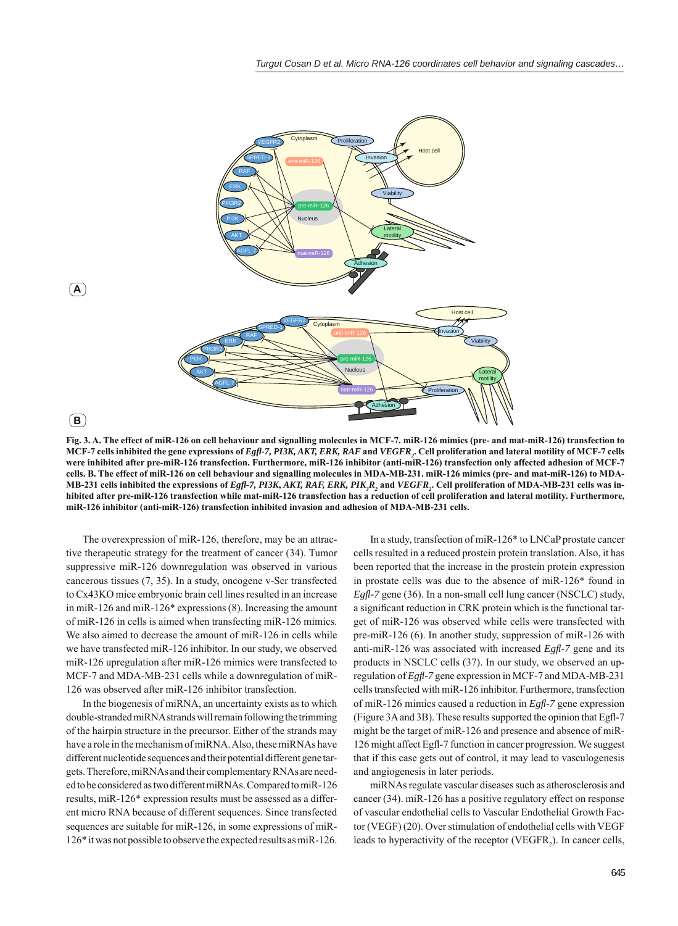

**Fig. 3. A. The effect of miR-126 on cell behaviour and signalling molecules in MCF-7. miR-126 mimics (pre- and mat-miR-126) transfection to MCF-7 cells inhibited the gene expressions of** *Egfl -7, PI3K, AKT, ERK, RAF* **and** *VEGFR2* **. Cell proliferation and lateral motility of MCF-7 cells were inhibited after pre-miR-126 transfection. Furthermore, miR-126 inhibitor (anti-miR-126) transfection only affected adhesion of MCF-7 cells. B. The effect of miR-126 on cell behaviour and signalling molecules in MDA-MB-231. miR-126 mimics (pre- and mat-miR-126) to MDA-MB-231 cells inhibited the expressions of** *Egfl -7, PI3K***,** *AKT, RAF, ERK, PIK3 R2* **and** *VEGFR2* **. Cell proliferation of MDA-MB-231 cells was inhibited after pre-miR-126 transfection while mat-miR-126 transfection has a reduction of cell proliferation and lateral motility. Furthermore, miR-126 inhibitor (anti-miR-126) transfection inhibited invasion and adhesion of MDA-MB-231 cells.**

The overexpression of miR-126, therefore, may be an attractive therapeutic strategy for the treatment of cancer (34). Tumor suppressive miR-126 downregulation was observed in various cancerous tissues (7, 35). In a study, oncogene v-Scr transfected to Cx43KO mice embryonic brain cell lines resulted in an increase in miR-126 and miR-126\* expressions (8). Increasing the amount of miR-126 in cells is aimed when transfecting miR-126 mimics. We also aimed to decrease the amount of miR-126 in cells while we have transfected miR-126 inhibitor. In our study, we observed miR-126 upregulation after miR-126 mimics were transfected to MCF-7 and MDA-MB-231 cells while a downregulation of miR-126 was observed after miR-126 inhibitor transfection.

In the biogenesis of miRNA, an uncertainty exists as to which double-stranded miRNA strands will remain following the trimming of the hairpin structure in the precursor. Either of the strands may have a role in the mechanism of miRNA. Also, these miRNAs have different nucleotide sequences and their potential different gene targets. Therefore, miRNAs and their complementary RNAs are needed to be considered as two different miRNAs. Compared to miR-126 results, miR-126\* expression results must be assessed as a different micro RNA because of different sequences. Since transfected sequences are suitable for miR-126, in some expressions of miR-126\* it was not possible to observe the expected results as miR-126.

In a study, transfection of miR-126\* to LNCaP prostate cancer cells resulted in a reduced prostein protein translation. Also, it has been reported that the increase in the prostein protein expression in prostate cells was due to the absence of miR-126\* found in *Egfl -7* gene (36). In a non-small cell lung cancer (NSCLC) study, a significant reduction in CRK protein which is the functional target of miR-126 was observed while cells were transfected with pre-miR-126 (6). In another study, suppression of miR-126 with anti-miR-126 was associated with increased *Egfl*-7 gene and its products in NSCLC cells (37). In our study, we observed an upregulation of *Egfl -7* gene expression in MCF-7 and MDA-MB-231 cells transfected with miR-126 inhibitor. Furthermore, transfection of miR-126 mimics caused a reduction in *Egfl -7* gene expression (Figure 3A and 3B). These results supported the opinion that Egfl-7 might be the target of miR-126 and presence and absence of miR-126 might affect Egfl-7 function in cancer progression. We suggest that if this case gets out of control, it may lead to vasculogenesis and angiogenesis in later periods.

miRNAs regulate vascular diseases such as atherosclerosis and cancer (34). miR-126 has a positive regulatory effect on response of vascular endothelial cells to Vascular Endothelial Growth Factor (VEGF) (20). Over stimulation of endothelial cells with VEGF leads to hyperactivity of the receptor (VEGFR<sub>2</sub>). In cancer cells,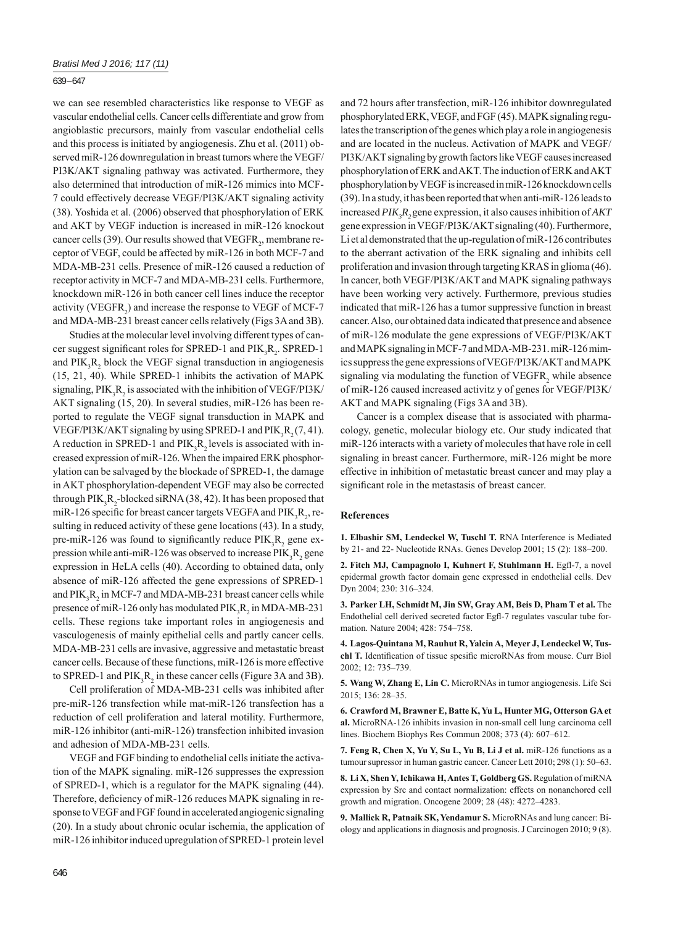we can see resembled characteristics like response to VEGF as vascular endothelial cells. Cancer cells differentiate and grow from angioblastic precursors, mainly from vascular endothelial cells and this process is initiated by angiogenesis. Zhu et al. (2011) observed miR-126 downregulation in breast tumors where the VEGF/ PI3K/AKT signaling pathway was activated. Furthermore, they also determined that introduction of miR-126 mimics into MCF-7 could effectively decrease VEGF/PI3K/AKT signaling activity (38). Yoshida et al. (2006) observed that phosphorylation of ERK and AKT by VEGF induction is increased in miR-126 knockout cancer cells (39). Our results showed that  $VEGFR<sub>2</sub>$ , membrane receptor of VEGF, could be affected by miR-126 in both MCF-7 and MDA-MB-231 cells. Presence of miR-126 caused a reduction of receptor activity in MCF-7 and MDA-MB-231 cells. Furthermore, knockdown miR-126 in both cancer cell lines induce the receptor activity (VEGFR<sub>2</sub>) and increase the response to VEGF of MCF-7 and MDA-MB-231 breast cancer cells relatively (Figs 3A and 3B).

Studies at the molecular level involving different types of cancer suggest significant roles for SPRED-1 and  $PIK_3R_2$ . SPRED-1 and  $PIK_3R_2$  block the VEGF signal transduction in angiogenesis (15, 21, 40). While SPRED-1 inhibits the activation of MAPK signaling,  $PIK_3R_2$  is associated with the inhibition of VEGF/PI3K/ AKT signaling (15, 20). In several studies, miR-126 has been reported to regulate the VEGF signal transduction in MAPK and VEGF/PI3K/AKT signaling by using SPRED-1 and  $PIK_3R_2(7, 41)$ . A reduction in SPRED-1 and  $PIK_3R_2$  levels is associated with increased expression of miR-126. When the impaired ERK phosphorylation can be salvaged by the blockade of SPRED-1, the damage in AKT phosphorylation-dependent VEGF may also be corrected through  $PIK_3R_2$ -blocked siRNA (38, 42). It has been proposed that miR-126 specific for breast cancer targets VEGFA and  $PIK_3R_2$ , resulting in reduced activity of these gene locations (43). In a study, pre-miR-126 was found to significantly reduce  $PIK_3R_2$  gene expression while anti-miR-126 was observed to increase  $PIK_3R_2$  gene expression in HeLA cells (40). According to obtained data, only absence of miR-126 affected the gene expressions of SPRED-1 and  $PIK_3R_2$  in MCF-7 and MDA-MB-231 breast cancer cells while presence of miR-126 only has modulated  $\text{PIK}_{3}R_{2}$  in MDA-MB-231 cells. These regions take important roles in angiogenesis and vasculogenesis of mainly epithelial cells and partly cancer cells. MDA-MB-231 cells are invasive, aggressive and metastatic breast cancer cells. Because of these functions, miR-126 is more effective to SPRED-1 and  $PIK_3R_2$  in these cancer cells (Figure 3A and 3B).

Cell proliferation of MDA-MB-231 cells was inhibited after pre-miR-126 transfection while mat-miR-126 transfection has a reduction of cell proliferation and lateral motility. Furthermore, miR-126 inhibitor (anti-miR-126) transfection inhibited invasion and adhesion of MDA-MB-231 cells.

VEGF and FGF binding to endothelial cells initiate the activation of the MAPK signaling. miR-126 suppresses the expression of SPRED-1, which is a regulator for the MAPK signaling (44). Therefore, deficiency of miR-126 reduces MAPK signaling in response to VEGF and FGF found in accelerated angiogenic signaling (20). In a study about chronic ocular ischemia, the application of miR-126 inhibitor induced upregulation of SPRED-1 protein level and 72 hours after transfection, miR-126 inhibitor downregulated phosphorylated ERK, VEGF, and FGF (45). MAPK signaling regulates the transcription of the genes which play a role in angiogenesis and are located in the nucleus. Activation of MAPK and VEGF/ PI3K/AKT signaling by growth factors like VEGF causes increased phosphorylation of ERK and AKT. The induction of ERK and AKT phosphorylation by VEGF is increased in miR-126 knockdown cells (39). In a study, it has been reported that when anti-miR-126 leads to increased *PIK3 R2* gene expression, it also causes inhibition of *AKT* gene expression in VEGF/PI3K/AKT signaling (40). Furthermore, Li et al demonstrated that the up-regulation of miR-126 contributes to the aberrant activation of the ERK signaling and inhibits cell proliferation and invasion through targeting KRAS in glioma (46). In cancer, both VEGF/PI3K/AKT and MAPK signaling pathways have been working very actively. Furthermore, previous studies indicated that miR-126 has a tumor suppressive function in breast cancer. Also, our obtained data indicated that presence and absence of miR-126 modulate the gene expressions of VEGF/PI3K/AKT and MAPK signaling in MCF-7 and MDA-MB-231. miR-126 mimics suppress the gene expressions of VEGF/PI3K/AKT and MAPK signaling via modulating the function of  $VEGFR$ <sub>2</sub> while absence of miR-126 caused increased activitz y of genes for VEGF/PI3K/ AKT and MAPK signaling (Figs 3A and 3B).

Cancer is a complex disease that is associated with pharmacology, genetic, molecular biology etc. Our study indicated that miR-126 interacts with a variety of molecules that have role in cell signaling in breast cancer. Furthermore, miR-126 might be more effective in inhibition of metastatic breast cancer and may play a significant role in the metastasis of breast cancer.

#### **References**

**1. Elbashir SM, Lendeckel W, Tuschl T.** RNA Interference is Mediated by 21- and 22- Nucleotide RNAs. Genes Develop 2001; 15 (2): 188–200.

2. Fitch MJ, Campagnolo I, Kuhnert F, Stuhlmann H. Egfl-7, a novel epidermal growth factor domain gene expressed in endothelial cells. Dev Dyn 2004; 230: 316–324.

**3. Parker LH, Schmidt M, Jin SW, Gray AM, Beis D, Pham T et al.** The Endothelial cell derived secreted factor Egfl-7 regulates vascular tube formation. Nature 2004; 428: 754–758.

**4. Lagos-Quintana M, Rauhut R, Yalcin A, Meyer J, Lendeckel W, Tus**chl T. Identification of tissue spesific microRNAs from mouse. Curr Biol 2002; 12: 735–739.

**5. Wang W, Zhang E, Lin C.** MicroRNAs in tumor angiogenesis. Life Sci 2015; 136: 28–35.

**6. Crawford M, Brawner E, Batte K, Yu L, Hunter MG, Otterson GA et al.** MicroRNA-126 inhibits invasion in non-small cell lung carcinoma cell lines. Biochem Biophys Res Commun 2008; 373 (4): 607–612.

7. Feng R, Chen X, Yu Y, Su L, Yu B, Li J et al. miR-126 functions as a tumour supressor in human gastric cancer. Cancer Lett 2010; 298 (1): 50–63.

**8. Li X, Shen Y, Ichikawa H, Antes T, Goldberg GS.** Regulation of miRNA expression by Src and contact normalization: effects on nonanchored cell growth and migration. Oncogene 2009; 28 (48): 4272–4283.

**9. Mallick R, Patnaik SK, Yendamur S.** MicroRNAs and lung cancer: Biology and applications in diagnosis and prognosis. J Carcinogen 2010; 9 (8).